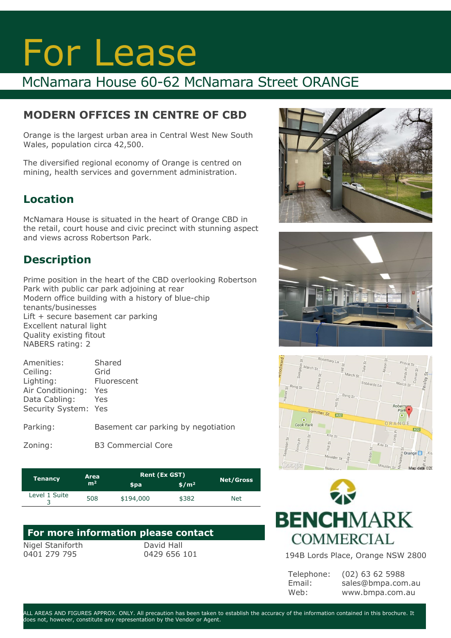# For Lease

## McNamara House 60-62 McNamara Street ORANGE

### **MODERN OFFICES IN CENTRE OF CBD**

Orange is the largest urban area in Central West New South Wales, population circa 42,500.

The diversified regional economy of Orange is centred on mining, health services and government administration.

#### **Location**

McNamara House is situated in the heart of Orange CBD in the retail, court house and civic precinct with stunning aspect and views across Robertson Park.

#### **Description**

Prime position in the heart of the CBD overlooking Robertson Park with public car park adjoining at rear Modern office building with a history of blue-chip tenants/businesses Lift + secure basement car parking Excellent natural light Quality existing fitout NABERS rating: 2

| Amenities:           | Shared      |
|----------------------|-------------|
| Ceiling:             | Grid        |
| Lighting:            | Fluorescent |
| Air Conditioning:    | Yes         |
| Data Cabling:        | Yes         |
| Security System: Yes |             |
|                      |             |

Parking: Basement car parking by negotiation

Zoning: B3 Commercial Core

| Tenancy       | Area           | <b>Rent (Ex GST)</b> |                   |                  |
|---------------|----------------|----------------------|-------------------|------------------|
|               | m <sup>2</sup> | \$pa                 | \$/m <sup>2</sup> | <b>Net/Gross</b> |
| Level 1 Suite | 508            | \$194,000            | \$382             | <b>Net</b>       |

#### **For more information please contact**

Nigel Staniforth 0401 279 795

David Hall









0429 656 101 194B Lords Place, Orange NSW 2800

| Telephone: | $(02)$ 63 62 5988 |
|------------|-------------------|
| Email:     | sales@bmpa.com.au |
| Web:       | www.bmpa.com.au   |